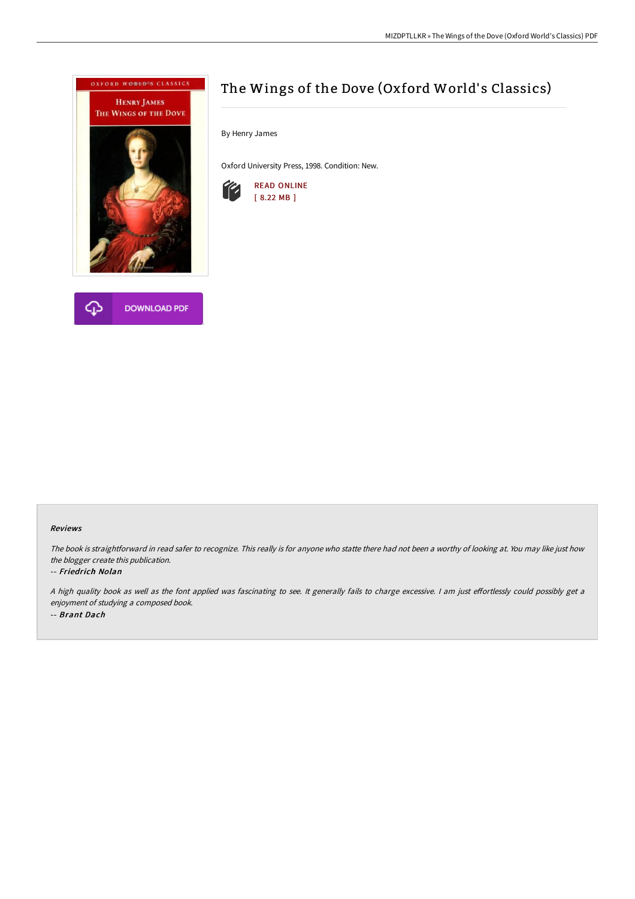



# The Wings of the Dove (Oxford World's Classics)

By Henry James

Oxford University Press, 1998. Condition: New.



#### Reviews

The book is straightforward in read safer to recognize. This really is for anyone who statte there had not been <sup>a</sup> worthy of looking at. You may like just how the blogger create this publication.

#### -- Friedrich Nolan

A high quality book as well as the font applied was fascinating to see. It generally fails to charge excessive. I am just effortlessly could possibly get a enjoyment of studying <sup>a</sup> composed book. -- Brant Dach